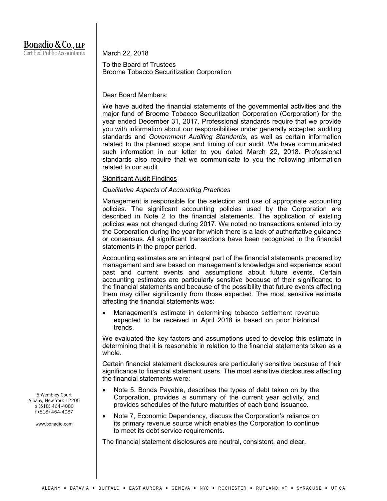# Bonadio & Co., LLP Certified Public Accountants

March 22, 2018

To the Board of Trustees Broome Tobacco Securitization Corporation

Dear Board Members:

We have audited the financial statements of the governmental activities and the major fund of Broome Tobacco Securitization Corporation (Corporation) for the year ended December 31, 2017. Professional standards require that we provide you with information about our responsibilities under generally accepted auditing standards and *Government Auditing Standards*, as well as certain information related to the planned scope and timing of our audit. We have communicated such information in our letter to you dated March 22, 2018. Professional standards also require that we communicate to you the following information related to our audit.

# Significant Audit Findings

## *Qualitative Aspects of Accounting Practices*

Management is responsible for the selection and use of appropriate accounting policies. The significant accounting policies used by the Corporation are described in Note 2 to the financial statements. The application of existing policies was not changed during 2017. We noted no transactions entered into by the Corporation during the year for which there is a lack of authoritative guidance or consensus. All significant transactions have been recognized in the financial statements in the proper period.

Accounting estimates are an integral part of the financial statements prepared by management and are based on management's knowledge and experience about past and current events and assumptions about future events. Certain accounting estimates are particularly sensitive because of their significance to the financial statements and because of the possibility that future events affecting them may differ significantly from those expected. The most sensitive estimate affecting the financial statements was:

 Management's estimate in determining tobacco settlement revenue expected to be received in April 2018 is based on prior historical trends.

We evaluated the key factors and assumptions used to develop this estimate in determining that it is reasonable in relation to the financial statements taken as a whole.

Certain financial statement disclosures are particularly sensitive because of their significance to financial statement users. The most sensitive disclosures affecting the financial statements were:

- Note 5, Bonds Payable, describes the types of debt taken on by the Corporation, provides a summary of the current year activity, and provides schedules of the future maturities of each bond issuance.
- Note 7, Economic Dependency, discuss the Corporation's reliance on its primary revenue source which enables the Corporation to continue to meet its debt service requirements.

The financial statement disclosures are neutral, consistent, and clear.

6 Wembley Court Albany, New York 12205 p (518) 464-4080 f (518) 464-4087

www.bonadio.com